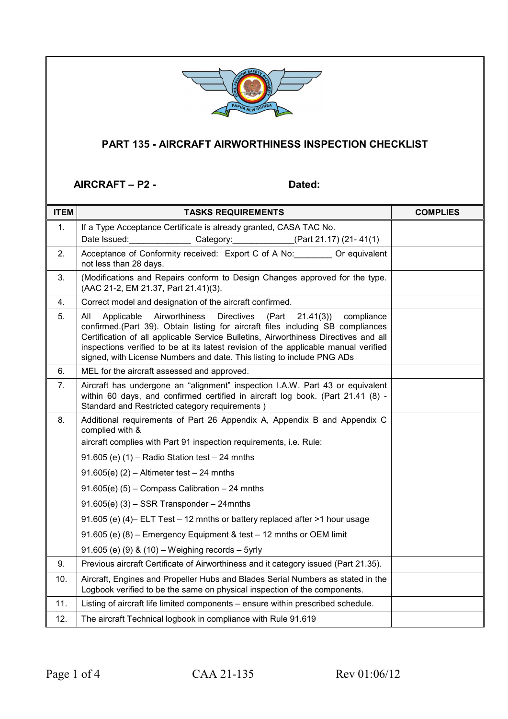

## **PART 135 - AIRCRAFT AIRWORTHINESS INSPECTION CHECKLIST**

## AIRCRAFT – P2 - Dated:

| <b>ITEM</b> | <b>TASKS REQUIREMENTS</b>                                                                                                                                                                                                                                                                                                                                                                                                             | <b>COMPLIES</b> |
|-------------|---------------------------------------------------------------------------------------------------------------------------------------------------------------------------------------------------------------------------------------------------------------------------------------------------------------------------------------------------------------------------------------------------------------------------------------|-----------------|
| 1.          | If a Type Acceptance Certificate is already granted, CASA TAC No.                                                                                                                                                                                                                                                                                                                                                                     |                 |
|             | Date Issued: ____________________Category: ______________(Part 21.17) (21-41(1)                                                                                                                                                                                                                                                                                                                                                       |                 |
| 2.          | Acceptance of Conformity received: Export C of A No: _______ Or equivalent<br>not less than 28 days.                                                                                                                                                                                                                                                                                                                                  |                 |
| 3.          | (Modifications and Repairs conform to Design Changes approved for the type.<br>(AAC 21-2, EM 21.37, Part 21.41)(3).                                                                                                                                                                                                                                                                                                                   |                 |
| 4.          | Correct model and designation of the aircraft confirmed.                                                                                                                                                                                                                                                                                                                                                                              |                 |
| 5.          | Airworthiness<br><b>Directives</b><br>All<br>Applicable<br>(Part<br>21.41(3)<br>compliance<br>confirmed.(Part 39). Obtain listing for aircraft files including SB compliances<br>Certification of all applicable Service Bulletins, Airworthiness Directives and all<br>inspections verified to be at its latest revision of the applicable manual verified<br>signed, with License Numbers and date. This listing to include PNG ADs |                 |
| 6.          | MEL for the aircraft assessed and approved.                                                                                                                                                                                                                                                                                                                                                                                           |                 |
| 7.          | Aircraft has undergone an "alignment" inspection I.A.W. Part 43 or equivalent<br>within 60 days, and confirmed certified in aircraft log book. (Part 21.41 (8) -<br>Standard and Restricted category requirements)                                                                                                                                                                                                                    |                 |
| 8.          | Additional requirements of Part 26 Appendix A, Appendix B and Appendix C<br>complied with &                                                                                                                                                                                                                                                                                                                                           |                 |
|             | aircraft complies with Part 91 inspection requirements, i.e. Rule:                                                                                                                                                                                                                                                                                                                                                                    |                 |
|             | 91.605 (e) $(1)$ – Radio Station test – 24 mnths                                                                                                                                                                                                                                                                                                                                                                                      |                 |
|             | $91.605(e)$ (2) – Altimeter test – 24 mnths                                                                                                                                                                                                                                                                                                                                                                                           |                 |
|             | $91.605(e)$ (5) – Compass Calibration – 24 mnths                                                                                                                                                                                                                                                                                                                                                                                      |                 |
|             | $91.605(e)$ (3) – SSR Transponder – 24mnths                                                                                                                                                                                                                                                                                                                                                                                           |                 |
|             | 91.605 (e) (4) ELT Test - 12 mnths or battery replaced after >1 hour usage                                                                                                                                                                                                                                                                                                                                                            |                 |
|             | 91.605 (e) (8) – Emergency Equipment & test – 12 mnths or OEM limit                                                                                                                                                                                                                                                                                                                                                                   |                 |
|             | 91.605 (e) (9) & (10) - Weighing records - 5yrly                                                                                                                                                                                                                                                                                                                                                                                      |                 |
| 9.          | Previous aircraft Certificate of Airworthiness and it category issued (Part 21.35).                                                                                                                                                                                                                                                                                                                                                   |                 |
| 10.         | Aircraft, Engines and Propeller Hubs and Blades Serial Numbers as stated in the<br>Logbook verified to be the same on physical inspection of the components.                                                                                                                                                                                                                                                                          |                 |
| 11.         | Listing of aircraft life limited components - ensure within prescribed schedule.                                                                                                                                                                                                                                                                                                                                                      |                 |
| 12.         | The aircraft Technical logbook in compliance with Rule 91.619                                                                                                                                                                                                                                                                                                                                                                         |                 |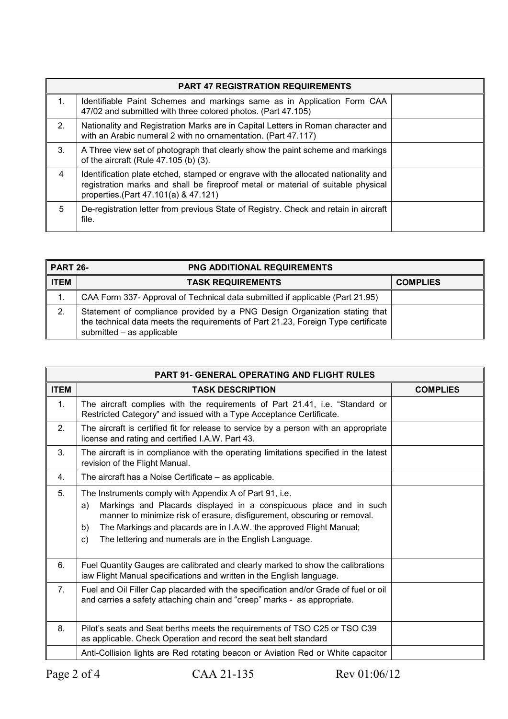| <b>PART 47 REGISTRATION REQUIREMENTS</b> |                                                                                                                                                                                                                 |  |
|------------------------------------------|-----------------------------------------------------------------------------------------------------------------------------------------------------------------------------------------------------------------|--|
| 1.                                       | Identifiable Paint Schemes and markings same as in Application Form CAA<br>47/02 and submitted with three colored photos. (Part 47.105)                                                                         |  |
| 2 <sub>1</sub>                           | Nationality and Registration Marks are in Capital Letters in Roman character and<br>with an Arabic numeral 2 with no ornamentation. (Part 47.117)                                                               |  |
| 3.                                       | A Three view set of photograph that clearly show the paint scheme and markings<br>of the aircraft (Rule 47.105 (b) (3).                                                                                         |  |
| $\overline{4}$                           | Identification plate etched, stamped or engrave with the allocated nationality and<br>registration marks and shall be fireproof metal or material of suitable physical<br>properties. (Part 47.101(a) & 47.121) |  |
| 5                                        | De-registration letter from previous State of Registry. Check and retain in aircraft<br>file.                                                                                                                   |  |

| I PART 26-  | <b>PNG ADDITIONAL REQUIREMENTS</b>                                                                                                                                                           |                 |
|-------------|----------------------------------------------------------------------------------------------------------------------------------------------------------------------------------------------|-----------------|
| <b>ITEM</b> | <b>TASK REQUIREMENTS</b>                                                                                                                                                                     | <b>COMPLIES</b> |
| 1.          | CAA Form 337- Approval of Technical data submitted if applicable (Part 21.95)                                                                                                                |                 |
| 2.          | Statement of compliance provided by a PNG Design Organization stating that<br>the technical data meets the requirements of Part 21.23, Foreign Type certificate<br>submitted - as applicable |                 |

| <b>PART 91- GENERAL OPERATING AND FLIGHT RULES</b> |                                                                                                                                                                                                                                                                                                                                                               |                 |
|----------------------------------------------------|---------------------------------------------------------------------------------------------------------------------------------------------------------------------------------------------------------------------------------------------------------------------------------------------------------------------------------------------------------------|-----------------|
| <b>ITEM</b>                                        | <b>TASK DESCRIPTION</b>                                                                                                                                                                                                                                                                                                                                       | <b>COMPLIES</b> |
| 1 <sub>1</sub>                                     | The aircraft complies with the requirements of Part 21.41, i.e. "Standard or<br>Restricted Category" and issued with a Type Acceptance Certificate.                                                                                                                                                                                                           |                 |
| 2.                                                 | The aircraft is certified fit for release to service by a person with an appropriate<br>license and rating and certified I.A.W. Part 43.                                                                                                                                                                                                                      |                 |
| 3.                                                 | The aircraft is in compliance with the operating limitations specified in the latest<br>revision of the Flight Manual.                                                                                                                                                                                                                                        |                 |
| 4.                                                 | The aircraft has a Noise Certificate - as applicable.                                                                                                                                                                                                                                                                                                         |                 |
| 5.                                                 | The Instruments comply with Appendix A of Part 91, i.e.<br>Markings and Placards displayed in a conspicuous place and in such<br>a)<br>manner to minimize risk of erasure, disfigurement, obscuring or removal.<br>b)<br>The Markings and placards are in I.A.W. the approved Flight Manual;<br>The lettering and numerals are in the English Language.<br>C) |                 |
| 6.                                                 | Fuel Quantity Gauges are calibrated and clearly marked to show the calibrations<br>iaw Flight Manual specifications and written in the English language.                                                                                                                                                                                                      |                 |
| 7 <sub>1</sub>                                     | Fuel and Oil Filler Cap placarded with the specification and/or Grade of fuel or oil<br>and carries a safety attaching chain and "creep" marks - as appropriate.                                                                                                                                                                                              |                 |
| 8.                                                 | Pilot's seats and Seat berths meets the requirements of TSO C25 or TSO C39<br>as applicable. Check Operation and record the seat belt standard                                                                                                                                                                                                                |                 |
|                                                    | Anti-Collision lights are Red rotating beacon or Aviation Red or White capacitor                                                                                                                                                                                                                                                                              |                 |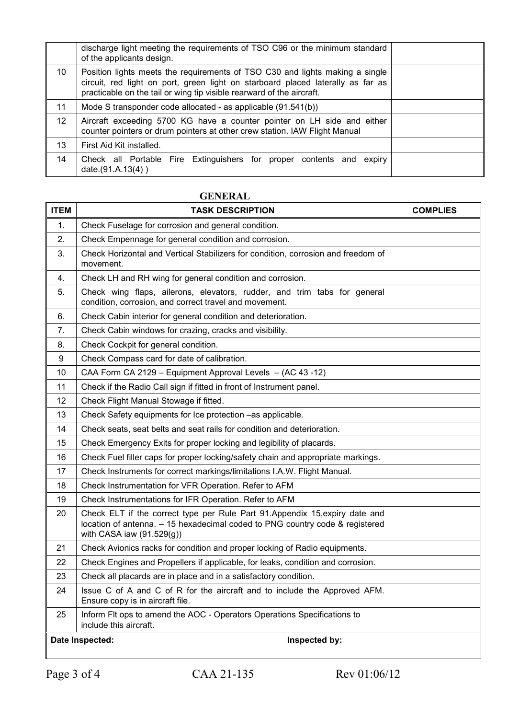|                 | discharge light meeting the requirements of TSO C96 or the minimum standard<br>of the applicants design.                                                                                                                                 |  |
|-----------------|------------------------------------------------------------------------------------------------------------------------------------------------------------------------------------------------------------------------------------------|--|
| 10              | Position lights meets the requirements of TSO C30 and lights making a single<br>circuit, red light on port, green light on starboard placed laterally as far as<br>practicable on the tail or wing tip visible rearward of the aircraft. |  |
| 11              | Mode S transponder code allocated - as applicable (91.541(b))                                                                                                                                                                            |  |
| 12 <sup>°</sup> | Aircraft exceeding 5700 KG have a counter pointer on LH side and either<br>counter pointers or drum pointers at other crew station. IAW Flight Manual                                                                                    |  |
| 13              | First Aid Kit installed.                                                                                                                                                                                                                 |  |
| 14              | Check all Portable Fire Extinguishers for proper contents and expiry<br>date. $(91.A.13(4))$                                                                                                                                             |  |

## **GENERAL**

| <b>ITEM</b> | <b>TASK DESCRIPTION</b>                                                                                                                                                                   | <b>COMPLIES</b> |
|-------------|-------------------------------------------------------------------------------------------------------------------------------------------------------------------------------------------|-----------------|
| 1.          | Check Fuselage for corrosion and general condition.                                                                                                                                       |                 |
| 2.          | Check Empennage for general condition and corrosion.                                                                                                                                      |                 |
| 3.          | Check Horizontal and Vertical Stabilizers for condition, corrosion and freedom of<br>movement.                                                                                            |                 |
| 4.          | Check LH and RH wing for general condition and corrosion.                                                                                                                                 |                 |
| 5.          | Check wing flaps, ailerons, elevators, rudder, and trim tabs for general<br>condition, corrosion, and correct travel and movement.                                                        |                 |
| 6.          | Check Cabin interior for general condition and deterioration.                                                                                                                             |                 |
| 7.          | Check Cabin windows for crazing, cracks and visibility.                                                                                                                                   |                 |
| 8.          | Check Cockpit for general condition.                                                                                                                                                      |                 |
| 9           | Check Compass card for date of calibration.                                                                                                                                               |                 |
| 10          | CAA Form CA 2129 - Equipment Approval Levels - (AC 43-12)                                                                                                                                 |                 |
| 11          | Check if the Radio Call sign if fitted in front of Instrument panel.                                                                                                                      |                 |
| 12          | Check Flight Manual Stowage if fitted.                                                                                                                                                    |                 |
| 13          | Check Safety equipments for Ice protection -as applicable.                                                                                                                                |                 |
| 14          | Check seats, seat belts and seat rails for condition and deterioration.                                                                                                                   |                 |
| 15          | Check Emergency Exits for proper locking and legibility of placards.                                                                                                                      |                 |
| 16          | Check Fuel filler caps for proper locking/safety chain and appropriate markings.                                                                                                          |                 |
| 17          | Check Instruments for correct markings/limitations I.A.W. Flight Manual.                                                                                                                  |                 |
| 18          | Check Instrumentation for VFR Operation. Refer to AFM                                                                                                                                     |                 |
| 19          | Check Instrumentations for IFR Operation. Refer to AFM                                                                                                                                    |                 |
| 20          | Check ELT if the correct type per Rule Part 91. Appendix 15, expiry date and<br>location of antenna. - 15 hexadecimal coded to PNG country code & registered<br>with CASA iaw (91.529(g)) |                 |
| 21          | Check Avionics racks for condition and proper locking of Radio equipments.                                                                                                                |                 |
| 22          | Check Engines and Propellers if applicable, for leaks, condition and corrosion.                                                                                                           |                 |
| 23          | Check all placards are in place and in a satisfactory condition.                                                                                                                          |                 |
| 24          | Issue C of A and C of R for the aircraft and to include the Approved AFM.<br>Ensure copy is in aircraft file.                                                                             |                 |
| 25          | Inform FIt ops to amend the AOC - Operators Operations Specifications to<br>include this aircraft.                                                                                        |                 |
|             | Inspected by:<br>Date Inspected:                                                                                                                                                          |                 |